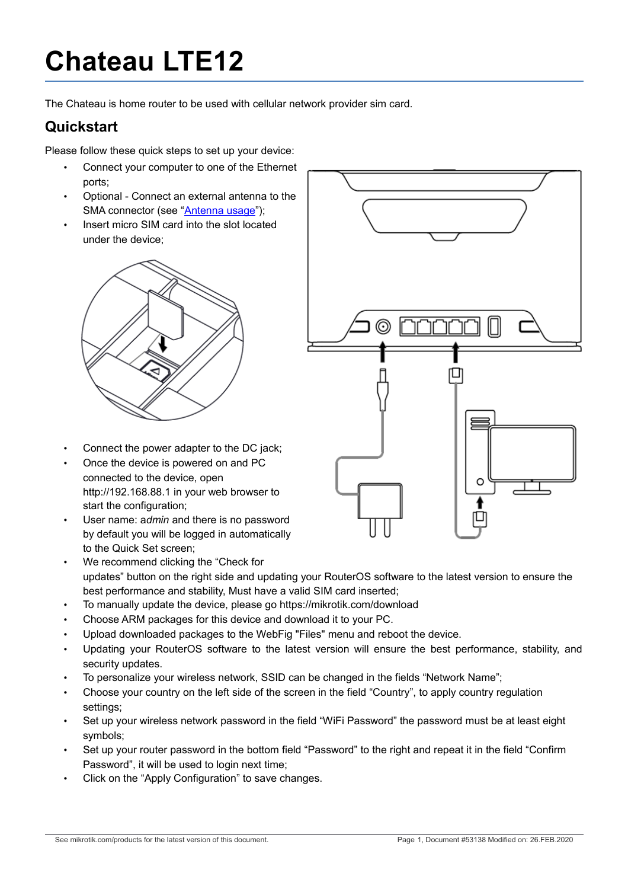# **Chateau LTE12**

The Chateau is home router to be used with cellular network provider sim card.

#### **Quickstart**

Please follow these quick steps to set up your device:

- Connect your computer to one of the Ethernet ports;
- Optional Connect an external antenna to the SMA connector (see ["Antenna usage"](#page-4-0));
- Insert micro SIM card into the slot located under the device;



- Connect the power adapter to the DC jack;
- Once the device is powered on and PC connected to the device, open http://192.168.88.1 in your web browser to start the configuration;
- User name: a*dmin* and there is no password by default you will be logged in automatically to the Quick Set screen;



- We recommend clicking the "Check for updates" button on the right side and updating your RouterOS software to the latest version to ensure the best performance and stability, Must have a valid SIM card inserted;
- To manually update the device, please go https://mikrotik.com/download
- Choose ARM packages for this device and download it to your PC.
- Upload downloaded packages to the WebFig "Files" menu and reboot the device.
- Updating your RouterOS software to the latest version will ensure the best performance, stability, and security updates.
- To personalize your wireless network, SSID can be changed in the fields "Network Name";
- Choose your country on the left side of the screen in the field "Country", to apply country regulation settings;
- Set up your wireless network password in the field "WiFi Password" the password must be at least eight symbols;
- Set up your router password in the bottom field "Password" to the right and repeat it in the field "Confirm Password", it will be used to login next time;
- Click on the "Apply Configuration" to save changes.
- See mikrotik.com/products for the latest version of this document. Page 1, Document #53138 Modified on: 26.FEB.2020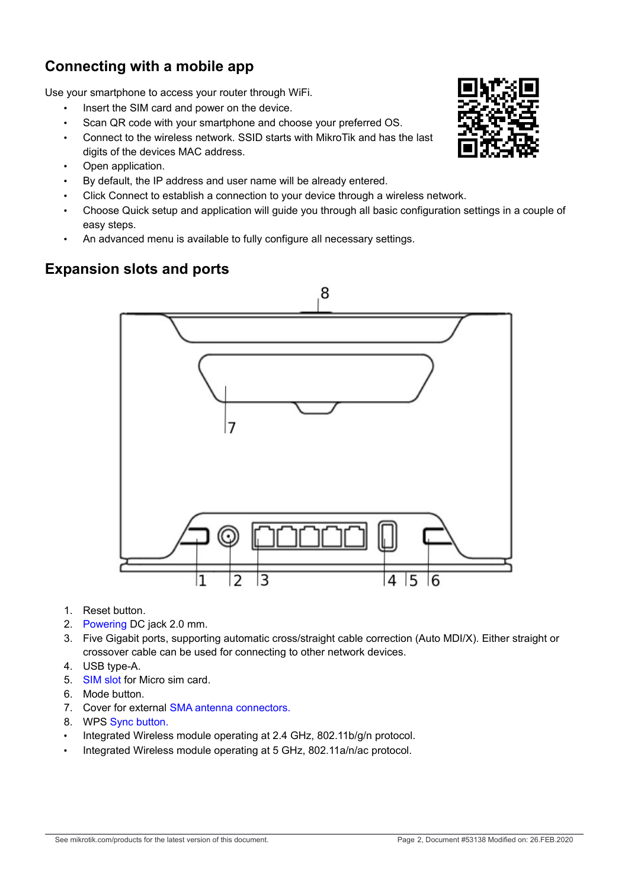## **Connecting with a mobile app**

Use your smartphone to access your router through WiFi.

- Insert the SIM card and power on the device.
- Scan QR code with your smartphone and choose your preferred OS.
- Connect to the wireless network. SSID starts with MikroTik and has the last digits of the devices MAC address.
- Open application.
- By default, the IP address and user name will be already entered.
- Click Connect to establish a connection to your device through a wireless network.
- Choose Quick setup and application will guide you through all basic configuration settings in a couple of easy steps.
- An advanced menu is available to fully configure all necessary settings.

#### <span id="page-1-0"></span>**Expansion slots and ports**



- 1. [Reset button.](#page-3-1)
- 2. [Powering](#page-2-1) DC jack 2.0 mm.
- 3. Five Gigabit ports, supporting automatic cross/straight cable correction (Auto MDI/X). Either straight or crossover cable can be used for connecting to other network devices.
- 4. USB type-A.
- 5. [SIM slot](#page-3-0) for Micro sim card.
- 6. Mode button.
- 7. Cover for external [SMA antenna connectors.](#page-4-0)
- 8. WPS [Sync button.](#page-2-0)
- Integrated Wireless module operating at 2.4 GHz, 802.11b/g/n protocol.
- Integrated Wireless module operating at 5 GHz, 802.11a/n/ac protocol.

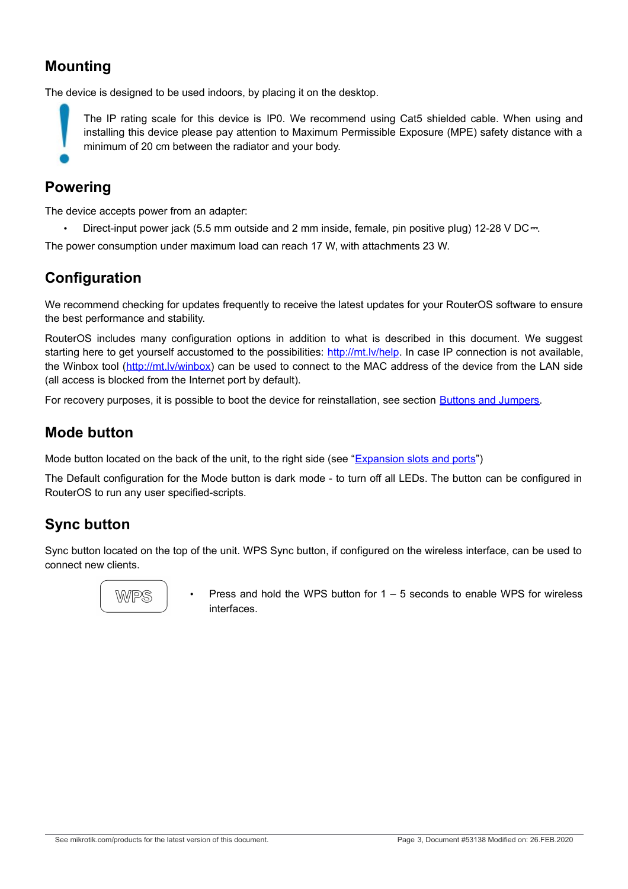## **Mounting**

The device is designed to be used indoors, by placing it on the desktop.

The IP rating scale for this device is IP0. We recommend using Cat5 shielded cable. When using and installing this device please pay attention to Maximum Permissible Exposure (MPE) safety distance with a minimum of 20 cm between the radiator and your body.

#### <span id="page-2-1"></span>**Powering**

The device accepts power from an adapter:

• Direct-input power jack (5.5 mm outside and 2 mm inside, female, pin positive plug) 12-28 V DC⎓.

The power consumption under maximum load can reach 17 W, with attachments 23 W.

#### **Configuration**

We recommend checking for updates frequently to receive the latest updates for your RouterOS software to ensure the best performance and stability.

RouterOS includes many configuration options in addition to what is described in this document. We suggest starting here to get yourself accustomed to the possibilities: [http://mt.lv/help.](http://mt.lv/help) In case IP connection is not available, the Winbox tool [\(http://mt.lv/winbox\)](http://mt.lv/winbox) can be used to connect to the MAC address of the device from the LAN side (all access is blocked from the Internet port by default).

For recovery purposes, it is possible to boot the device for reinstallation, see section [Buttons and Jumpers.](#page-2-2)

#### **Mode button**

Mode button located on the back of the unit, to the right side (see ["Expansion slots and ports"](#page-1-0))

The Default configuration for the Mode button is dark mode - to turn off all LEDs. The button can be configured in RouterOS to run any user specified-scripts.

#### <span id="page-2-0"></span>**Sync button**

Sync button located on the top of the unit. WPS Sync button, if configured on the wireless interface, can be used to connect new clients.



<span id="page-2-2"></span>Press and hold the WPS button for  $1 - 5$  seconds to enable WPS for wireless interfaces.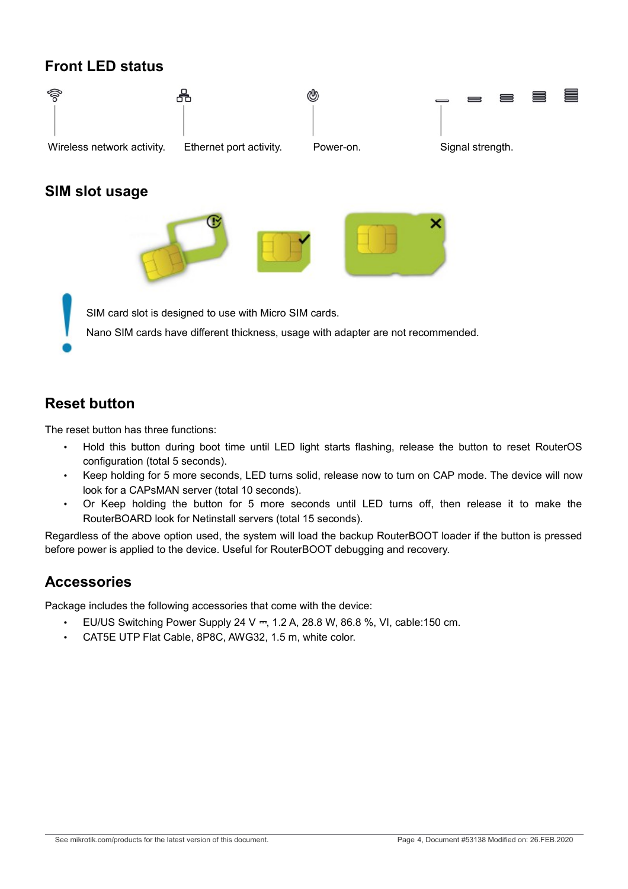## **Front LED status**

<span id="page-3-0"></span>

#### <span id="page-3-1"></span>**Reset button**

The reset button has three functions:

- Hold this button during boot time until LED light starts flashing, release the button to reset RouterOS configuration (total 5 seconds).
- Keep holding for 5 more seconds, LED turns solid, release now to turn on CAP mode. The device will now look for a CAPsMAN server (total 10 seconds).
- Or Keep holding the button for 5 more seconds until LED turns off, then release it to make the RouterBOARD look for Netinstall servers (total 15 seconds).

Regardless of the above option used, the system will load the backup RouterBOOT loader if the button is pressed before power is applied to the device. Useful for RouterBOOT debugging and recovery.

#### **Accessories**

Package includes the following accessories that come with the device:

- EU/US Switching Power Supply 24 V ⎓, 1.2 A, 28.8 W, 86.8 %, VI, cable:150 cm.
- CAT5E UTP Flat Cable, 8P8C, AWG32, 1.5 m, white color.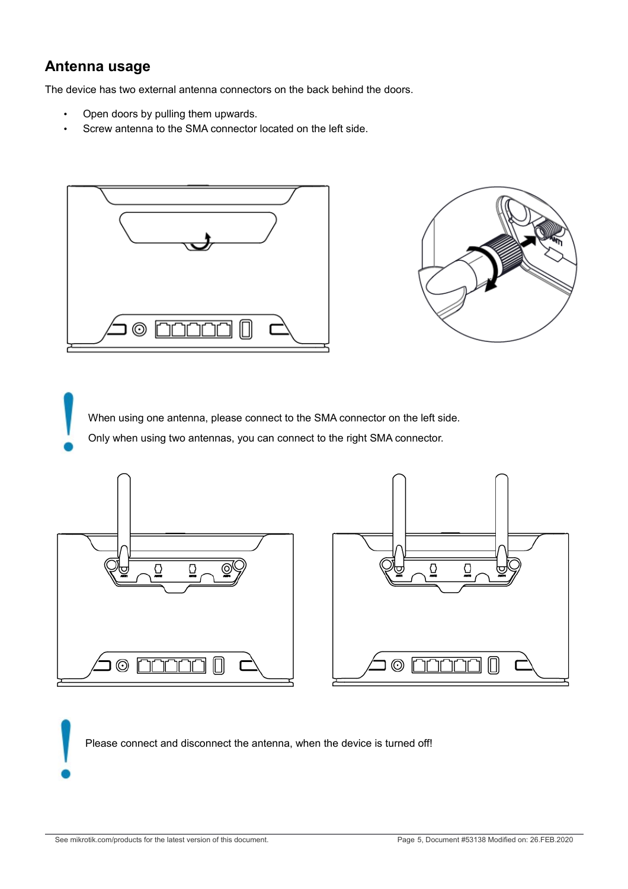#### <span id="page-4-0"></span>**Antenna usage**

The device has two external antenna connectors on the back behind the doors.

- Open doors by pulling them upwards.
- Screw antenna to the SMA connector located on the left side.





When using one antenna, please connect to the SMA connector on the left side. Only when using two antennas, you can connect to the right SMA connector.



Please connect and disconnect the antenna, when the device is turned off!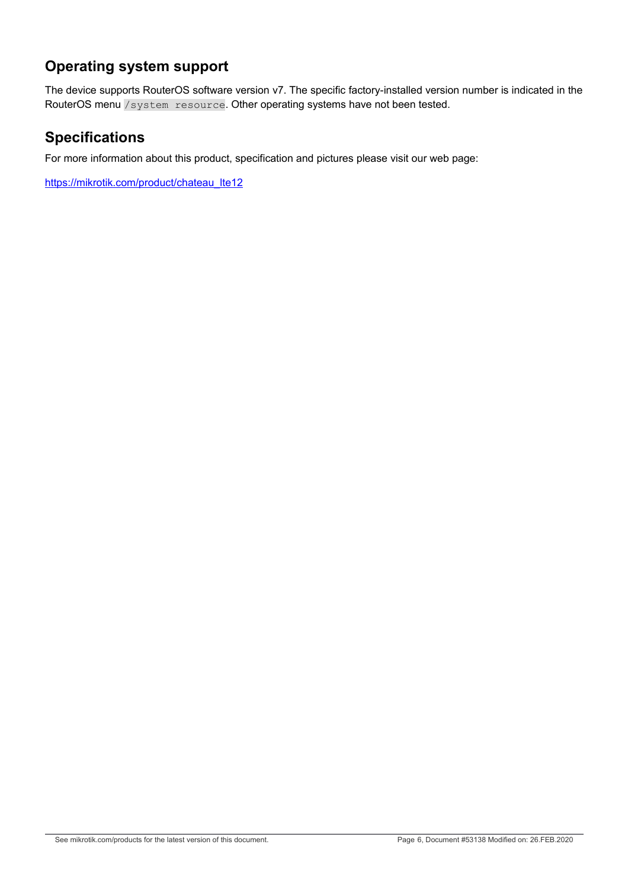## **Operating system support**

The device supports RouterOS software version v7. The specific factory-installed version number is indicated in the RouterOS menu /system resource. Other operating systems have not been tested.

## **Specifications**

For more information about this product, specification and pictures please visit our web page:

[https://mikrotik.com/product/chateau\\_lte12](https://mikrotik.com/product/chateau_lte12)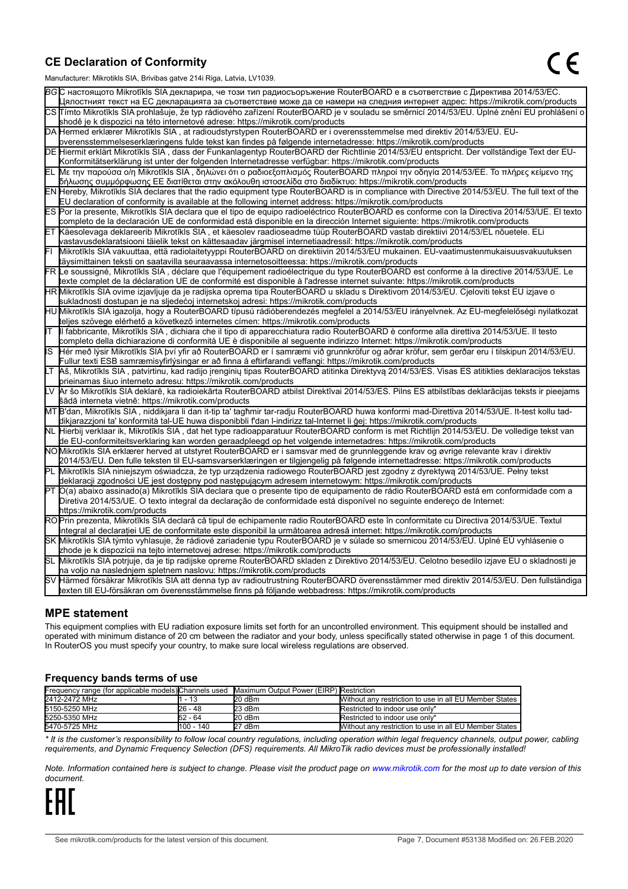#### **CE Declaration of Conformity**

Manufacturer: Mikrotikls SIA, Brivibas gatve 214i Riga, Latvia, LV1039.

|    | ividiTulacturer. Mintounis OIA, Difvidas gatve Z 141 inga, Latvia, Lv 1009.                                                                     |
|----|-------------------------------------------------------------------------------------------------------------------------------------------------|
|    | ВСС настоящото Mikrotīkls SIA декларира, че този тип радиосъоръжение RouterBOARD е в съответствие с Директива 2014/53/ЕС.                       |
|    | Цялостният текст на EC декларацията за съответствие може да се намери на следния интернет адрес: https://mikrotik.com/products                  |
|    | CS∏ímto Mikrotīkls SIA prohlašuje, že typ rádiového zařízení RouterBOARD je v souladu se směrnicí 2014/53/EU. Úplné znění EU prohlášení o       |
|    | shodě je k dispozici na této internetové adrese: https://mikrotik.com/products                                                                  |
|    | DA Hermed erklærer Mikrotīkls SIA, at radioudstyrstypen RouterBOARD er i overensstemmelse med direktiv 2014/53/EU. EU-                          |
|    | overensstemmelseserklæringens fulde tekst kan findes på følgende internetadresse: https://mikrotik.com/products                                 |
|    | DE Hiermit erklärt Mikrotīkls SIA, dass der Funkanlagentyp RouterBOARD der Richtlinie 2014/53/EU entspricht. Der vollständige Text der EU-      |
|    | Konformitätserklärung ist unter der folgenden Internetadresse verfügbar: https://mikrotik.com/products                                          |
| ΈL | Με την παρούσα ο/η Mikrotīkls SIA , δηλώνει ότι ο ραδιοεξοπλισμός RouterBOARD πληροί την οδηγία 2014/53/ΕΕ. Το πλήρες κείμενο της               |
|    | δήλωσης συμμόρφωσης ΕΕ διατίθεται στην ακόλουθη ιστοσελίδα στο διαδίκτυο: https://mikrotik.com/products                                         |
|    | EN Hereby, Mikrotīkls SIA declares that the radio equipment type RouterBOARD is in compliance with Directive 2014/53/EU. The full text of the   |
|    | EU declaration of conformity is available at the following internet address: https://mikrotik.com/products                                      |
|    | ES Por la presente, Mikrotīkls SIA declara que el tipo de equipo radioeléctrico RouterBOARD es conforme con la Directiva 2014/53/UE. El texto   |
|    | completo de la declaración UE de conformidad está disponible en la dirección Internet siguiente: https://mikrotik.com/products                  |
|    | ∣ET ∣Käesolevaga deklareerib Mikrotīkls SIA , et käesolev raadioseadme tüüp RouterBOARD vastab direktiivi 2014/53/EL nõuetele. ELi              |
|    | vastavusdeklaratsiooni täielik tekst on kättesaadav järgmisel internetiaadressil: https://mikrotik.com/products                                 |
|    | Mikrotīkls SIA vakuuttaa, että radiolaitetyyppi RouterBOARD on direktiivin 2014/53/EU mukainen. EU-vaatimustenmukaisuusvakuutuksen              |
|    | täysimittainen teksti on saatavilla seuraavassa internetosoitteessa: https://mikrotik.com/products                                              |
|    | FR Le soussigné, Mikrotīkls SIA , déclare que l'équipement radioélectrique du type RouterBOARD est conforme à la directive 2014/53/UE. Le       |
|    | texte complet de la déclaration UE de conformité est disponible à l'adresse internet suivante: https://mikrotik.com/products                    |
|    | HR∭likrotīkls SIA ovime izjavljuje da je radijska oprema tipa RouterBOARD u skladu s Direktivom 2014/53/EU. Cjeloviti tekst EU izjave o         |
|    | sukladnosti dostupan je na sljedećoj internetskoj adresi: https://mikrotik.com/products                                                         |
|    | HU Mikrotīkls SIA igazolja, hogy a RouterBOARD típusú rádióberendezés megfelel a 2014/53/EU irányelvnek. Az EU-megfelelőségi nyilatkozat        |
|    | teljes szövege elérhető a következő internetes címen: https://mikrotik.com/products                                                             |
| lΤ | Il fabbricante, Mikrotīkls SIA, dichiara che il tipo di apparecchiatura radio RouterBOARD è conforme alla direttiva 2014/53/UE. Il testo        |
|    | completo della dichiarazione di conformità UE è disponibile al seguente indirizzo Internet: https://mikrotik.com/products                       |
| IS | Hér með lýsir Mikrotīkls SIA því yfir að RouterBOARD er í samræmi við grunnkröfur og aðrar kröfur, sem gerðar eru í tilskipun 2014/53/EU.       |
|    | Fullur texti ESB samræmisyfirlýsingar er að finna á eftirfarandi veffangi: https://mikrotik.com/products                                        |
| LТ | Aš, Mikrotīkls SIA, patvirtinu, kad radijo įrenginių tipas RouterBOARD atitinka Direktyvą 2014/53/ES. Visas ES atitikties deklaracijos tekstas  |
|    | prieinamas šiuo interneto adresu: https://mikrotik.com/products                                                                                 |
|    | Ar šo Mikrotīkls SIA deklarē, ka radioiekārta RouterBOARD atbilst Direktīvai 2014/53/ES. Pilns ES atbilstības deklarācijas teksts ir pieejams   |
|    | šādā interneta vietnē: https://mikrotik.com/products                                                                                            |
|    | MT B'dan, Mikrotīkls SIA, niddikjara li dan it-tip ta' tagħmir tar-radju RouterBOARD huwa konformi mad-Direttiva 2014/53/UE. It-test kollu tad- |
|    | dikjarazzjoni ta' konformità tal-UE huwa disponibbli f'dan l-indirizz tal-Internet li ġej: https://mikrotik.com/products                        |
|    | NL  Hierbij verklaar ik, Mikrotīkls SIA , dat het type radioapparatuur RouterBOARD conform is met Richtlijn 2014/53/EU. De volledige tekst van  |
|    | de EU-conformiteitsverklaring kan worden geraadpleegd op het volgende internetadres: https://mikrotik.com/products                              |
|    | NOMikrotīkls SIA erklærer herved at utstyret RouterBOARD er i samsvar med de grunnleggende krav og øvrige relevante krav i direktiv             |
|    | 2014/53/EU. Den fulle teksten til EU-samsvarserklæringen er tilgjengelig på følgende internettadresse: https://mikrotik.com/products            |
|    | PL Mikrotīkls SIA niniejszym oświadcza, że typ urządzenia radiowego RouterBOARD jest zgodny z dyrektywą 2014/53/UE. Pełny tekst                 |
|    | deklaracji zgodności UE jest dostępny pod następującym adresem internetowym: https://mikrotik.com/products                                      |
|    | PT O(a) abaixo assinado(a) Mikrotīkls SIA declara que o presente tipo de equipamento de rádio RouterBOARD está em conformidade com a            |
|    | Diretiva 2014/53/UE. O texto integral da declaração de conformidade está disponível no seguinte endereço de Internet:                           |
|    | https://mikrotik.com/products                                                                                                                   |
|    | ROPrin prezenta, Mikrotīkls SIA declară că tipul de echipamente radio RouterBOARD este în conformitate cu Directiva 2014/53/UE. Textul          |
|    | integral al declaratiei UE de conformitate este disponibil la următoarea adresă internet: https://mikrotik.com/products                         |
|    | SK Mikrotīkls SIA týmto vyhlasuje, že rádiové zariadenie typu RouterBOARD je v súlade so smernicou 2014/53/EÚ. Úplné EÚ vyhlásenie o            |
|    | zhode je k dispozícii na tejto internetovej adrese: https://mikrotik.com/products                                                               |
|    | SL Mikrotīkls SIA potrjuje, da je tip radijske opreme RouterBOARD skladen z Direktivo 2014/53/EU. Celotno besedilo izjave EU o skladnosti je    |
|    | na voljo na naslednjem spletnem naslovu: https://mikrotik.com/products                                                                          |
|    | SV Härmed försäkrar Mikrotīkls SIA att denna typ av radioutrustning RouterBOARD överensstämmer med direktiv 2014/53/EU. Den fullständiga        |
|    | texten till EU-försäkran om överensstämmelse finns på följande webbadress: https://mikrotik.com/products                                        |

#### **MPE statement**

This equipment complies with EU radiation exposure limits set forth for an uncontrolled environment. This equipment should be installed and operated with minimum distance of 20 cm between the radiator and your body, unless specifically stated otherwise in page 1 of this document. In RouterOS you must specify your country, to make sure local wireless regulations are observed.

#### **Frequency bands terms of use**

| Frequency range (for applicable models) Channels used Maximum Output Power (EIRP) Restriction |            |        |                                                        |
|-----------------------------------------------------------------------------------------------|------------|--------|--------------------------------------------------------|
| 2412-2472 MHz                                                                                 | - 13       | 20 dBm | Without any restriction to use in all EU Member States |
| 5150-5250 MHz                                                                                 | 26 - 48    | 23 dBm | Restricted to indoor use only*                         |
| 5250-5350 MHz                                                                                 | 52 - 64    | 20 dBm | Restricted to indoor use only*                         |
| 5470-5725 MHz                                                                                 | 1100 - 140 | 27 dBm | Without any restriction to use in all EU Member States |

*\* It is the customer's responsibility to follow local country regulations, including operation within legal frequency channels, output power, cabling requirements, and Dynamic Frequency Selection (DFS) requirements. All MikroTik radio devices must be professionally installed!*

*Note. Information contained here is subject to change. Please visit the product page on [www.mikrotik.com](http://www.mikrotik.com/) for the most up to date version of this document.*